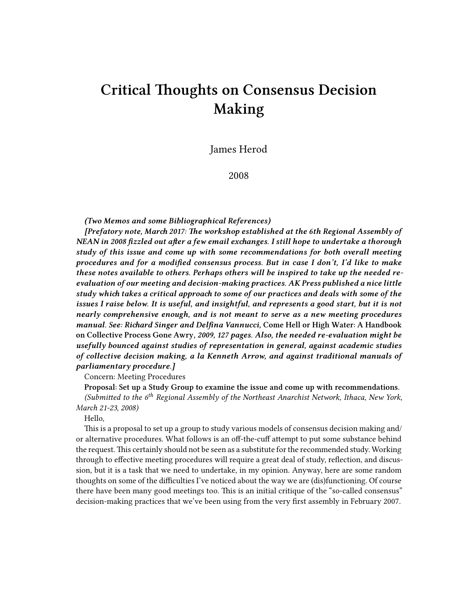# **Critical Thoughts on Consensus Decision Making**

James Herod

2008

## *(Two Memos and some Bibliographical References)*

*[Prefatory note, March 2017: The workshop established at the 6th Regional Assembly of NEAN in 2008 fizzled out after a few email exchanges. I still hope to undertake a thorough study of this issue and come up with some recommendations for both overall meeting procedures and for a modified consensus process. But in case I don't, I'd like to make these notes available to others. Perhaps others will be inspired to take up the needed reevaluation of our meeting and decision-making practices. AK Press published a nice little study which takes a critical approach to some of our practices and deals with some of the issues I raise below. It is useful, and insightful, and represents a good start, but it is not nearly comprehensive enough, and is not meant to serve as a new meeting procedures manual. See: Richard Singer and Delfina Vannucci,* **Come Hell or High Water: A Handbook on Collective Process Gone Awry***, 2009, 127 pages. Also, the needed re-evaluation might be usefully bounced against studies of representation in general, against academic studies of collective decision making, a la Kenneth Arrow, and against traditional manuals of parliamentary procedure.]*

Concern: Meeting Procedures

**Proposal: Set up a Study Group to examine the issue and come up with recommendations.** *(Submitted to the 6th Regional Assembly of the Northeast Anarchist Network, Ithaca, New York, March 21-23, 2008)*

Hello,

This is a proposal to set up a group to study various models of consensus decision making and/ or alternative procedures. What follows is an off-the-cuff attempt to put some substance behind the request. This certainly should not be seen as a substitute for the recommended study. Working through to effective meeting procedures will require a great deal of study, reflection, and discussion, but it is a task that we need to undertake, in my opinion. Anyway, here are some random thoughts on some of the difficulties I've noticed about the way we are (dis)functioning. Of course there have been many good meetings too. This is an initial critique of the "so-called consensus" decision-making practices that we've been using from the very first assembly in February 2007.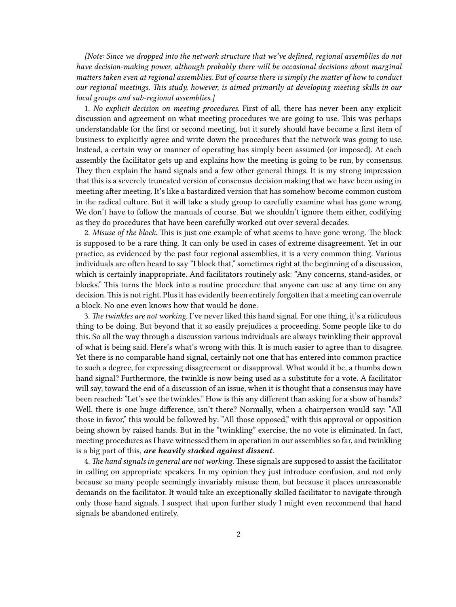*[Note: Since we dropped into the network structure that we've defined, regional assemblies do not have decision-making power, although probably there will be occasional decisions about marginal matters taken even at regional assemblies. But of course there is simply the matter of how to conduct our regional meetings. This study, however, is aimed primarily at developing meeting skills in our local groups and sub-regional assemblies.]*

1. *No explicit decision on meeting procedures.* First of all, there has never been any explicit discussion and agreement on what meeting procedures we are going to use. This was perhaps understandable for the first or second meeting, but it surely should have become a first item of business to explicitly agree and write down the procedures that the network was going to use. Instead, a certain way or manner of operating has simply been assumed (or imposed). At each assembly the facilitator gets up and explains how the meeting is going to be run, by consensus. They then explain the hand signals and a few other general things. It is my strong impression that this is a severely truncated version of consensus decision making that we have been using in meeting after meeting. It's like a bastardized version that has somehow become common custom in the radical culture. But it will take a study group to carefully examine what has gone wrong. We don't have to follow the manuals of course. But we shouldn't ignore them either, codifying as they do procedures that have been carefully worked out over several decades.

2. *Misuse of the block.* This is just one example of what seems to have gone wrong. The block is supposed to be a rare thing. It can only be used in cases of extreme disagreement. Yet in our practice, as evidenced by the past four regional assemblies, it is a very common thing. Various individuals are often heard to say "I block that," sometimes right at the beginning of a discussion, which is certainly inappropriate. And facilitators routinely ask: "Any concerns, stand-asides, or blocks." This turns the block into a routine procedure that anyone can use at any time on any decision.This is not right. Plus it has evidently been entirely forgotten that a meeting can overrule a block. No one even knows how that would be done.

3. *The twinkles are not working.* I've never liked this hand signal. For one thing, it's a ridiculous thing to be doing. But beyond that it so easily prejudices a proceeding. Some people like to do this. So all the way through a discussion various individuals are always twinkling their approval of what is being said. Here's what's wrong with this. It is much easier to agree than to disagree. Yet there is no comparable hand signal, certainly not one that has entered into common practice to such a degree, for expressing disagreement or disapproval. What would it be, a thumbs down hand signal? Furthermore, the twinkle is now being used as a substitute for a vote. A facilitator will say, toward the end of a discussion of an issue, when it is thought that a consensus may have been reached: "Let's see the twinkles." How is this any different than asking for a show of hands? Well, there is one huge difference, isn't there? Normally, when a chairperson would say: "All those in favor," this would be followed by: "All those opposed," with this approval or opposition being shown by raised hands. But in the "twinkling" exercise, the no vote is eliminated. In fact, meeting procedures as I have witnessed them in operation in our assemblies so far, and twinkling is a big part of this, *are heavily stacked against dissent.*

4. *The hand signals in general are not working.* These signals are supposed to assist the facilitator in calling on appropriate speakers. In my opinion they just introduce confusion, and not only because so many people seemingly invariably misuse them, but because it places unreasonable demands on the facilitator. It would take an exceptionally skilled facilitator to navigate through only those hand signals. I suspect that upon further study I might even recommend that hand signals be abandoned entirely.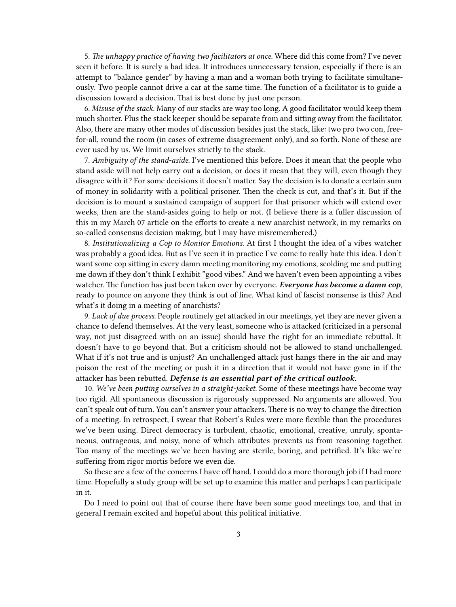5. *The unhappy practice of having two facilitators at once.* Where did this come from? I've never seen it before. It is surely a bad idea. It introduces unnecessary tension, especially if there is an attempt to "balance gender" by having a man and a woman both trying to facilitate simultaneously. Two people cannot drive a car at the same time. The function of a facilitator is to guide a discussion toward a decision. That is best done by just one person.

6. *Misuse of the stack*. Many of our stacks are way too long. A good facilitator would keep them much shorter. Plus the stack keeper should be separate from and sitting away from the facilitator. Also, there are many other modes of discussion besides just the stack, like: two pro two con, freefor-all, round the room (in cases of extreme disagreement only), and so forth. None of these are ever used by us. We limit ourselves strictly to the stack.

7. *Ambiguity of the stand-aside.* I've mentioned this before. Does it mean that the people who stand aside will not help carry out a decision, or does it mean that they will, even though they disagree with it? For some decisions it doesn't matter. Say the decision is to donate a certain sum of money in solidarity with a political prisoner. Then the check is cut, and that's it. But if the decision is to mount a sustained campaign of support for that prisoner which will extend over weeks, then are the stand-asides going to help or not. (I believe there is a fuller discussion of this in my March 07 article on the efforts to create a new anarchist network, in my remarks on so-called consensus decision making, but I may have misremembered.)

8. *Institutionalizing a Cop to Monitor Emotions.* At first I thought the idea of a vibes watcher was probably a good idea. But as I've seen it in practice I've come to really hate this idea. I don't want some cop sitting in every damn meeting monitoring my emotions, scolding me and putting me down if they don't think I exhibit "good vibes." And we haven't even been appointing a vibes watcher. The function has just been taken over by everyone. *Everyone has become a damn cop*, ready to pounce on anyone they think is out of line. What kind of fascist nonsense is this? And what's it doing in a meeting of anarchists?

9. *Lack of due process.* People routinely get attacked in our meetings, yet they are never given a chance to defend themselves. At the very least, someone who is attacked (criticized in a personal way, not just disagreed with on an issue) should have the right for an immediate rebuttal. It doesn't have to go beyond that. But a criticism should not be allowed to stand unchallenged. What if it's not true and is unjust? An unchallenged attack just hangs there in the air and may poison the rest of the meeting or push it in a direction that it would not have gone in if the attacker has been rebutted. *Defense is an essential part of the critical outlook.*

10. *We've been putting ourselves in a straight-jacket.* Some of these meetings have become way too rigid. All spontaneous discussion is rigorously suppressed. No arguments are allowed. You can't speak out of turn. You can't answer your attackers. There is no way to change the direction of a meeting. In retrospect, I swear that Robert's Rules were more flexible than the procedures we've been using. Direct democracy is turbulent, chaotic, emotional, creative, unruly, spontaneous, outrageous, and noisy, none of which attributes prevents us from reasoning together. Too many of the meetings we've been having are sterile, boring, and petrified. It's like we're suffering from rigor mortis before we even die.

So these are a few of the concerns I have off hand. I could do a more thorough job if I had more time. Hopefully a study group will be set up to examine this matter and perhaps I can participate in it.

Do I need to point out that of course there have been some good meetings too, and that in general I remain excited and hopeful about this political initiative.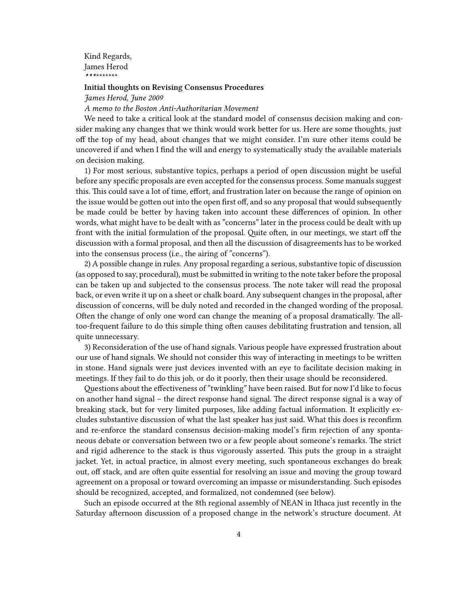Kind Regards, James Herod *\*\*\**\*\*\*\*\*\*\*

### **Initial thoughts on Revising Consensus Procedures**

*James Herod, June 2009*

#### *A memo to the Boston Anti-Authoritarian Movement*

We need to take a critical look at the standard model of consensus decision making and consider making any changes that we think would work better for us. Here are some thoughts, just off the top of my head, about changes that we might consider. I'm sure other items could be uncovered if and when I find the will and energy to systematically study the available materials on decision making.

1) For most serious, substantive topics, perhaps a period of open discussion might be useful before any specific proposals are even accepted for the consensus process. Some manuals suggest this. This could save a lot of time, effort, and frustration later on because the range of opinion on the issue would be gotten out into the open first off, and so any proposal that would subsequently be made could be better by having taken into account these differences of opinion. In other words, what might have to be dealt with as "concerns" later in the process could be dealt with up front with the initial formulation of the proposal. Quite often, in our meetings, we start off the discussion with a formal proposal, and then all the discussion of disagreements has to be worked into the consensus process (i.e., the airing of "concerns").

2) A possible change in rules. Any proposal regarding a serious, substantive topic of discussion (as opposed to say, procedural), must be submitted in writing to the note taker before the proposal can be taken up and subjected to the consensus process. The note taker will read the proposal back, or even write it up on a sheet or chalk board. Any subsequent changes in the proposal, after discussion of concerns, will be duly noted and recorded in the changed wording of the proposal. Often the change of only one word can change the meaning of a proposal dramatically. The alltoo-frequent failure to do this simple thing often causes debilitating frustration and tension, all quite unnecessary.

3) Reconsideration of the use of hand signals. Various people have expressed frustration about our use of hand signals. We should not consider this way of interacting in meetings to be written in stone. Hand signals were just devices invented with an eye to facilitate decision making in meetings. If they fail to do this job, or do it poorly, then their usage should be reconsidered.

Questions about the effectiveness of "twinkling" have been raised. But for now I'd like to focus on another hand signal – the direct response hand signal. The direct response signal is a way of breaking stack, but for very limited purposes, like adding factual information. It explicitly excludes substantive discussion of what the last speaker has just said. What this does is reconfirm and re-enforce the standard consensus decision-making model's firm rejection of any spontaneous debate or conversation between two or a few people about someone's remarks. The strict and rigid adherence to the stack is thus vigorously asserted. This puts the group in a straight jacket. Yet, in actual practice, in almost every meeting, such spontaneous exchanges do break out, off stack, and are often quite essential for resolving an issue and moving the group toward agreement on a proposal or toward overcoming an impasse or misunderstanding. Such episodes should be recognized, accepted, and formalized, not condemned (see below).

Such an episode occurred at the 8th regional assembly of NEAN in Ithaca just recently in the Saturday afternoon discussion of a proposed change in the network's structure document. At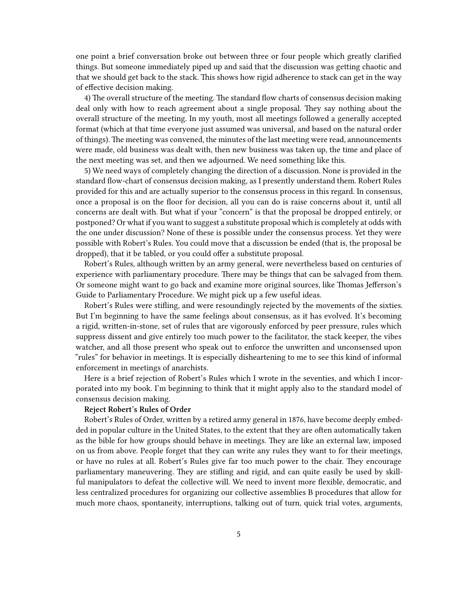one point a brief conversation broke out between three or four people which greatly clarified things. But someone immediately piped up and said that the discussion was getting chaotic and that we should get back to the stack. This shows how rigid adherence to stack can get in the way of effective decision making.

4) The overall structure of the meeting. The standard flow charts of consensus decision making deal only with how to reach agreement about a single proposal. They say nothing about the overall structure of the meeting. In my youth, most all meetings followed a generally accepted format (which at that time everyone just assumed was universal, and based on the natural order of things). The meeting was convened, the minutes of the last meeting were read, announcements were made, old business was dealt with, then new business was taken up, the time and place of the next meeting was set, and then we adjourned. We need something like this.

5) We need ways of completely changing the direction of a discussion. None is provided in the standard flow-chart of consensus decision making, as I presently understand them. Robert Rules provided for this and are actually superior to the consensus process in this regard. In consensus, once a proposal is on the floor for decision, all you can do is raise concerns about it, until all concerns are dealt with. But what if your "concern" is that the proposal be dropped entirely, or postponed? Or what if you want to suggest a substitute proposal which is completely at odds with the one under discussion? None of these is possible under the consensus process. Yet they were possible with Robert's Rules. You could move that a discussion be ended (that is, the proposal be dropped), that it be tabled, or you could offer a substitute proposal.

Robert's Rules, although written by an army general, were nevertheless based on centuries of experience with parliamentary procedure. There may be things that can be salvaged from them. Or someone might want to go back and examine more original sources, like Thomas Jefferson's Guide to Parliamentary Procedure. We might pick up a few useful ideas.

Robert's Rules were stifling, and were resoundingly rejected by the movements of the sixties. But I'm beginning to have the same feelings about consensus, as it has evolved. It's becoming a rigid, written-in-stone, set of rules that are vigorously enforced by peer pressure, rules which suppress dissent and give entirely too much power to the facilitator, the stack keeper, the vibes watcher, and all those present who speak out to enforce the unwritten and unconsensed upon "rules" for behavior in meetings. It is especially disheartening to me to see this kind of informal enforcement in meetings of anarchists.

Here is a brief rejection of Robert's Rules which I wrote in the seventies, and which I incorporated into my book. I'm beginning to think that it might apply also to the standard model of consensus decision making.

# **Reject Robert's Rules of Order**

Robert's Rules of Order, written by a retired army general in 1876, have become deeply embedded in popular culture in the United States, to the extent that they are often automatically taken as the bible for how groups should behave in meetings. They are like an external law, imposed on us from above. People forget that they can write any rules they want to for their meetings, or have no rules at all. Robert's Rules give far too much power to the chair. They encourage parliamentary maneuvering. They are stifling and rigid, and can quite easily be used by skillful manipulators to defeat the collective will. We need to invent more flexible, democratic, and less centralized procedures for organizing our collective assemblies B procedures that allow for much more chaos, spontaneity, interruptions, talking out of turn, quick trial votes, arguments,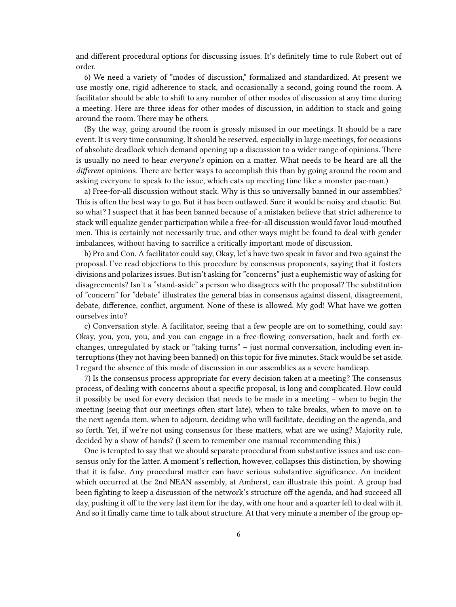and different procedural options for discussing issues. It's definitely time to rule Robert out of order.

6) We need a variety of "modes of discussion," formalized and standardized. At present we use mostly one, rigid adherence to stack, and occasionally a second, going round the room. A facilitator should be able to shift to any number of other modes of discussion at any time during a meeting. Here are three ideas for other modes of discussion, in addition to stack and going around the room. There may be others.

(By the way, going around the room is grossly misused in our meetings. It should be a rare event. It is very time consuming. It should be reserved, especially in large meetings, for occasions of absolute deadlock which demand opening up a discussion to a wider range of opinions. There is usually no need to hear *everyone's* opinion on a matter. What needs to be heard are all the *different* opinions. There are better ways to accomplish this than by going around the room and asking everyone to speak to the issue, which eats up meeting time like a monster pac-man.)

a) Free-for-all discussion without stack. Why is this so universally banned in our assemblies? This is often the best way to go. But it has been outlawed. Sure it would be noisy and chaotic. But so what? I suspect that it has been banned because of a mistaken believe that strict adherence to stack will equalize gender participation while a free-for-all discussion would favor loud-mouthed men. This is certainly not necessarily true, and other ways might be found to deal with gender imbalances, without having to sacrifice a critically important mode of discussion.

b) Pro and Con. A facilitator could say, Okay, let's have two speak in favor and two against the proposal. I've read objections to this procedure by consensus proponents, saying that it fosters divisions and polarizes issues. But isn't asking for "concerns" just a euphemistic way of asking for disagreements? Isn't a "stand-aside" a person who disagrees with the proposal? The substitution of "concern" for "debate" illustrates the general bias in consensus against dissent, disagreement, debate, difference, conflict, argument. None of these is allowed. My god! What have we gotten ourselves into?

c) Conversation style. A facilitator, seeing that a few people are on to something, could say: Okay, you, you, you, and you can engage in a free-flowing conversation, back and forth exchanges, unregulated by stack or "taking turns" – just normal conversation, including even interruptions (they not having been banned) on this topic for five minutes. Stack would be set aside. I regard the absence of this mode of discussion in our assemblies as a severe handicap.

7) Is the consensus process appropriate for every decision taken at a meeting? The consensus process, of dealing with concerns about a specific proposal, is long and complicated. How could it possibly be used for every decision that needs to be made in a meeting – when to begin the meeting (seeing that our meetings often start late), when to take breaks, when to move on to the next agenda item, when to adjourn, deciding who will facilitate, deciding on the agenda, and so forth. Yet, if we're not using consensus for these matters, what are we using? Majority rule, decided by a show of hands? (I seem to remember one manual recommending this.)

One is tempted to say that we should separate procedural from substantive issues and use consensus only for the latter. A moment's reflection, however, collapses this distinction, by showing that it is false. Any procedural matter can have serious substantive significance. An incident which occurred at the 2nd NEAN assembly, at Amherst, can illustrate this point. A group had been fighting to keep a discussion of the network's structure off the agenda, and had succeed all day, pushing it off to the very last item for the day, with one hour and a quarter left to deal with it. And so it finally came time to talk about structure. At that very minute a member of the group op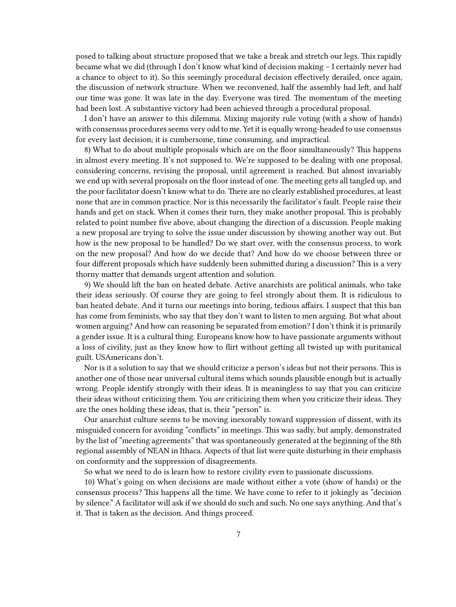posed to talking about structure proposed that we take a break and stretch our legs. This rapidly became what we did (through I don't know what kind of decision making – I certainly never had a chance to object to it). So this seemingly procedural decision effectively derailed, once again, the discussion of network structure. When we reconvened, half the assembly had left, and half our time was gone. It was late in the day. Everyone was tired. The momentum of the meeting had been lost. A substantive victory had been achieved through a procedural proposal.

I don't have an answer to this dilemma. Mixing majority rule voting (with a show of hands) with consensus procedures seems very odd to me. Yet it is equally wrong-headed to use consensus for every last decision; it is cumbersome, time consuming, and impractical.

8) What to do about multiple proposals which are on the floor simultaneously? This happens in almost every meeting. It's not supposed to. We're supposed to be dealing with one proposal, considering concerns, revising the proposal, until agreement is reached. But almost invariably we end up with several proposals on the floor instead of one. The meeting gets all tangled up, and the poor facilitator doesn't know what to do. There are no clearly established procedures, at least none that are in common practice. Nor is this necessarily the facilitator's fault. People raise their hands and get on stack. When it comes their turn, they make another proposal. This is probably related to point number five above, about changing the direction of a discussion. People making a new proposal are trying to solve the issue under discussion by showing another way out. But how is the new proposal to be handled? Do we start over, with the consensus process, to work on the new proposal? And how do we decide that? And how do we choose between three or four different proposals which have suddenly been submitted during a discussion? This is a very thorny matter that demands urgent attention and solution.

9) We should lift the ban on heated debate. Active anarchists are political animals, who take their ideas seriously. Of course they are going to feel strongly about them. It is ridiculous to ban heated debate. And it turns our meetings into boring, tedious affairs. I suspect that this ban has come from feminists, who say that they don't want to listen to men arguing. But what about women arguing? And how can reasoning be separated from emotion? I don't think it is primarily a gender issue. It is a cultural thing. Europeans know how to have passionate arguments without a loss of civility, just as they know how to flirt without getting all twisted up with puritanical guilt. USAmericans don't.

Nor is it a solution to say that we should criticize a person's ideas but not their persons. This is another one of those near universal cultural items which sounds plausible enough but is actually wrong. People identify strongly with their ideas. It is meaningless to say that you can criticize their ideas without criticizing them. You *are* criticizing them when you criticize their ideas. They are the ones holding these ideas, that is, their "person" is.

Our anarchist culture seems to be moving inexorably toward suppression of dissent, with its misguided concern for avoiding "conflicts" in meetings. This was sadly, but amply, demonstrated by the list of "meeting agreements" that was spontaneously generated at the beginning of the 8th regional assembly of NEAN in Ithaca. Aspects of that list were quite disturbing in their emphasis on conformity and the suppression of disagreements.

So what we need to do is learn how to restore civility even to passionate discussions.

10) What's going on when decisions are made without either a vote (show of hands) or the consensus process? This happens all the time. We have come to refer to it jokingly as "decision by silence." A facilitator will ask if we should do such and such. No one says anything. And that's it. That is taken as the decision. And things proceed.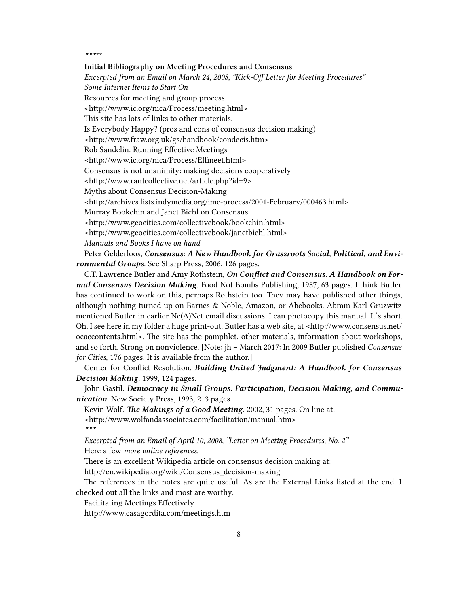#### *\*\*\**\*\*

## **Initial Bibliography on Meeting Procedures and Consensus**

*Excerpted from an Email on March 24, 2008, "Kick-Off Letter for Meeting Procedures" Some Internet Items to Start On* Resources for meeting and group process [<http://www.ic.org/nica/Process/meeting.html>](http://www.ic.org/nica/Process/meeting.html) This site has lots of links to other materials. Is Everybody Happy? (pros and cons of consensus decision making) [<http://www.fraw.org.uk/gs/handbook/condecis.htm](http://www.fraw.org.uk/gs/handbook/condecis.htm)> Rob Sandelin. Running Effective Meetings [<http://www.ic.org/nica/Process/Effmeet.html>](http://www.ic.org/nica/Process/Effmeet.html) Consensus is not unanimity: making decisions cooperatively [<http://www.rantcollective.net/article.php?id=9>](http://www.rantcollective.net/article.php?id=9) Myths about Consensus Decision-Making [<http://archives.lists.indymedia.org/imc-process/2001-February/000463.html>](http://archives.lists.indymedia.org/imc-process/2001-February/000463.html) Murray Bookchin and Janet Biehl on Consensus [<http://www.geocities.com/collectivebook/bookchin.html>](http://www.geocities.com/collectivebook/bookchin.html) [<http://www.geocities.com/collectivebook/janetbiehl.html>](http://www.geocities.com/collectivebook/janetbiehl.html) *Manuals and Books I have on hand*

Peter Gelderloos, *Consensus: A New Handbook for Grassroots Social, Political, and Environmental Groups*. See Sharp Press, 2006, 126 pages.

C.T. Lawrence Butler and Amy Rothstein, *On Conflict and Consensus. A Handbook on Formal Consensus Decision Making*. Food Not Bombs Publishing, 1987, 63 pages. I think Butler has continued to work on this, perhaps Rothstein too. They may have published other things, although nothing turned up on Barnes & Noble, Amazon, or Abebooks. Abram Karl-Gruzwitz mentioned Butler in earlier Ne(A)Net email discussions. I can photocopy this manual. It's short. Oh. I see here in my folder a huge print-out. Butler has a web site, at [<http://www.consensus.net/](http://www.consensus.net/ocaccontents.html) [ocaccontents.html](http://www.consensus.net/ocaccontents.html)>. The site has the pamphlet, other materials, information about workshops, and so forth. Strong on nonviolence. [Note: jh – March 2017: In 2009 Butler published *Consensus for Cities*, 176 pages. It is available from the author.]

Center for Conflict Resolution. *Building United Judgment: A Handbook for Consensus Decision Making*. 1999, 124 pages.

John Gastil. *Democracy in Small Groups: Participation, Decision Making, and Communication.* New Society Press, 1993, 213 pages.

Kevin Wolf. *The Makings of a Good Meeting*. 2002, 31 pages. On line at: [<http://www.wolfandassociates.com/facilitation/manual.htm>](http://www.wolfandassociates.com/facilitation/manual.htm) *\*\*\**

*Excerpted from an Email of April 10, 2008, "Letter on Meeting Procedures, No. 2"* Here a few *more online references.*

There is an excellent Wikipedia article on consensus decision making at:

[http://en.wikipedia.org/wiki/Consensus\\_decision-making](http://en.wikipedia.org/wiki/Consensus_decision-making)

The references in the notes are quite useful. As are the External Links listed at the end. I checked out all the links and most are worthy.

Facilitating Meetings Effectively

<http://www.casagordita.com/meetings.htm>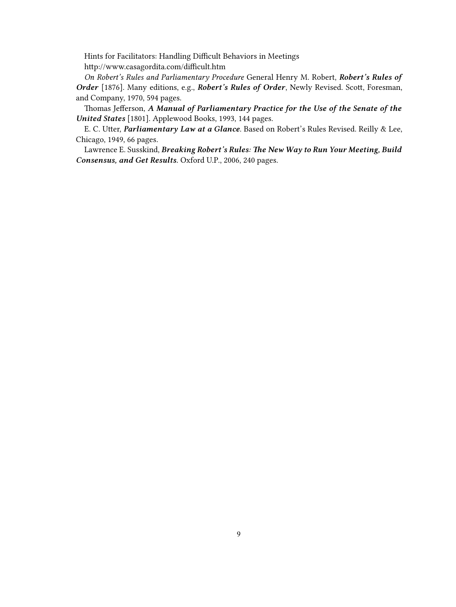Hints for Facilitators: Handling Difficult Behaviors in Meetings <http://www.casagordita.com/difficult.htm>

*On Robert's Rules and Parliamentary Procedure* General Henry M. Robert, *Robert's Rules of Order* [1876]. Many editions, e.g., *Robert's Rules of Order*, Newly Revised. Scott, Foresman, and Company, 1970, 594 pages.

Thomas Jefferson, *A Manual of Parliamentary Practice for the Use of the Senate of the United States* [1801]. Applewood Books, 1993, 144 pages.

E. C. Utter, *Parliamentary Law at a Glance*. Based on Robert's Rules Revised. Reilly & Lee, Chicago, 1949, 66 pages.

Lawrence E. Susskind, *Breaking Robert's Rules: The New Way to Run Your Meeting, Build Consensus, and Get Results.* Oxford U.P., 2006, 240 pages.